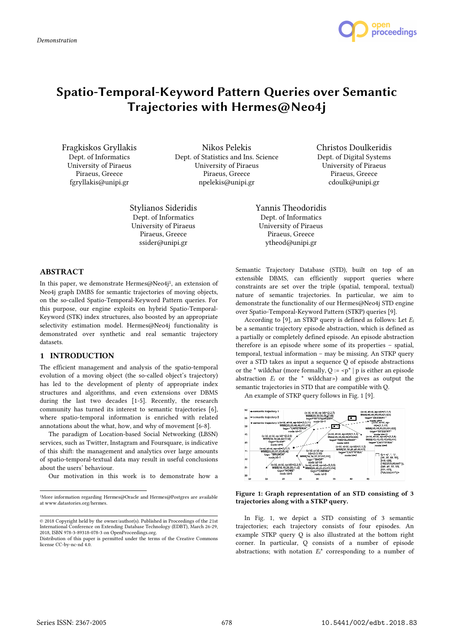

# **Spatio-Temporal-Keyword Pattern Queries over Semantic Trajectories with Hermes@Neo4j**

Fragkiskos Gryllakis Dept. of Informatics University of Piraeus Piraeus, Greece fgryllakis@unipi.gr

Nikos Pelekis Dept. of Statistics and Ins. Science University of Piraeus Piraeus, Greece npelekis@unipi.gr

Stylianos Sideridis Dept. of Informatics University of Piraeus Piraeus, Greece ssider@unipi.gr

Christos Doulkeridis Dept. of Digital Systems University of Piraeus Piraeus, Greece cdoulk@unipi.gr

Yannis Theodoridis Dept. of Informatics University of Piraeus Piraeus, Greece ytheod@unipi.gr

## **ABSTRACT**

In this paper, we demonstrate Hermes@Neo4j<sup>1</sup>, an extension of Neo4j graph DMBS for semantic trajectories of moving objects, on the so-called Spatio-Temporal-Keyword Pattern queries. For this purpose, our engine exploits on hybrid Spatio-Temporal-Keyword (STK) index structures, also boosted by an appropriate selectivity estimation model. Hermes@Neo4j functionality is demonstrated over synthetic and real semantic trajectory datasets.

## **1 INTRODUCTION**

The efficient management and analysis of the spatio-temporal evolution of a moving object (the so-called object's trajectory) has led to the development of plenty of appropriate index structures and algorithms, and even extensions over DBMS during the last two decades [1-5]. Recently, the research community has turned its interest to semantic trajectories [6], where spatio-temporal information is enriched with related annotations about the what, how, and why of movement [6-8].

The paradigm of Location-based Social Networking (LBSN) services, such as Twitter, Instagram and Foursquare, is indicative of this shift: the management and analytics over large amounts of spatio-temporal-textual data may result in useful conclusions about the users' behaviour.

Our motivation in this work is to demonstrate how a

Semantic Trajectory Database (STD), built on top of an extensible DBMS, can efficiently support queries where constraints are set over the triple (spatial, temporal, textual) nature of semantic trajectories. In particular, we aim to demonstrate the functionality of our Hermes@Neo4j STD engine over Spatio-Temporal-Keyword Pattern (STKP) queries [9].

According to [9], an STKP query is defined as follows: Let *E<sup>i</sup>* be a semantic trajectory episode abstraction, which is defined as a partially or completely defined episode. An episode abstraction therefore is an episode where some of its properties – spatial, temporal, textual information – may be missing. An STKP query over a STD takes as input a sequence Q of episode abstractions or the  $*$  wildchar (more formally, Q :=  $\langle p^* | p$  is either an episode abstraction  $E_i$  or the  $*$  wildchar>) and gives as output the semantic trajectories in STD that are compatible with Q.

An example of STKP query follows in Fig. 1 [9].



**Figure 1: Graph representation of an STD consisting of 3 trajectories along with a STKP query.**

In Fig. 1, we depict a STD consisting of 3 semantic trajectories; each trajectory consists of four episodes. An example STKP query Q is also illustrated at the bottom right corner. In particular, Q consists of a number of episode abstractions; with notation *Ei*\* corresponding to a number of

 $\overline{a}$ 

<sup>1</sup>More information regarding Hermes@Oracle and Hermes@Postgres are available at www.datastories.org/hermes.

<sup>© 2018</sup> Copyright held by the owner/author(s). Published in Proceedings of the 21st International Conference on Extending Database Technology (EDBT), March 26-29, 2018, ISBN 978-3-89318-078-3 on OpenProceedings.org. Distribution of this paper is permitted under the terms of the Creative Commons license CC-by-nc-nd 4.0.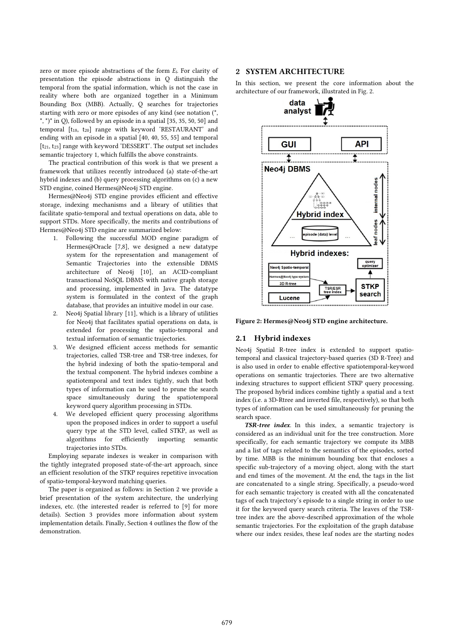zero or more episode abstractions of the form *Ei*. For clarity of presentation the episode abstractions in Q distinguish the temporal from the spatial information, which is not the case in reality where both are organized together in a Minimum Bounding Box (MBB). Actually, Q searches for trajectories starting with zero or more episodes of any kind (see notation (\*, \*, \*)\* in Q), followed by an episode in a spatial [35, 35, 50, 50] and temporal [t18, t20] range with keyword 'RESTAURANT' and ending with an episode in a spatial [40, 40, 55, 55] and temporal [t21, t23] range with keyword 'DESSERT'. The output set includes semantic trajectory 1, which fulfills the above constraints.

The practical contribution of this work is that we present a framework that utilizes recently introduced (a) state-of-the-art hybrid indexes and (b) query processing algorithms on (c) a new STD engine, coined Hermes@Neo4j STD engine.

Hermes@Neo4j STD engine provides efficient and effective storage, indexing mechanisms and a library of utilities that facilitate spatio-temporal and textual operations on data, able to support STDs. More specifically, the merits and contributions of Hermes@Neo4j STD engine are summarized below:

- 1. Following the successful MOD engine paradigm of Hermes@Oracle [7,8], we designed a new datatype system for the representation and management of Semantic Trajectories into the extensible DBMS architecture of Neo4j [10], an ACID-compliant transactional NoSQL DBMS with native graph storage and processing, implemented in Java. The datatype system is formulated in the context of the graph database, that provides an intuitive model in our case.
- 2. Neo4j Spatial library [11], which is a library of utilities for Neo4j that facilitates spatial operations on data, is extended for processing the spatio-temporal and textual information of semantic trajectories.
- 3. We designed efficient access methods for semantic trajectories, called TSR-tree and TSR-tree indexes, for the hybrid indexing of both the spatio-temporal and the textual component. The hybrid indexes combine a spatiotemporal and text index tightly, such that both types of information can be used to prune the search space simultaneously during the spatiotemporal keyword query algorithm processing in STDs.
- 4. We developed efficient query processing algorithms upon the proposed indices in order to support a useful query type at the STD level, called STKP, as well as algorithms for efficiently importing semantic trajectories into STDs.

Employing separate indexes is weaker in comparison with the tightly integrated proposed state-of-the-art approach, since an efficient resolution of the STKP requires repetitive invocation of spatio-temporal-keyword matching queries.

The paper is organized as follows: in Section 2 we provide a brief presentation of the system architecture, the underlying indexes, etc. (the interested reader is referred to [9] for more details). Section 3 provides more information about system implementation details. Finally, Section 4 outlines the flow of the demonstration.

# **2 SYSTEM ARCHITECTURE**

In this section, we present the core information about the architecture of our framework, illustrated in Fig. 2.



**Figure 2: Hermes@Neo4j STD engine architecture.**

# **2.1 Hybrid indexes**

Neo4j Spatial R-tree index is extended to support spatiotemporal and classical trajectory-based queries (3D R-Tree) and is also used in order to enable effective spatiotemporal-keyword operations on semantic trajectories. There are two alternative indexing structures to support efficient STKP query processing. The proposed hybrid indices combine tightly a spatial and a text index (i.e. a 3D-Rtree and inverted file, respectively), so that both types of information can be used simultaneously for pruning the search space.

*TSR-tree index*. In this index, a semantic trajectory is considered as an individual unit for the tree construction. More specifically, for each semantic trajectory we compute its MBB and a list of tags related to the semantics of the episodes, sorted by time. MBB is the minimum bounding box that encloses a specific sub-trajectory of a moving object, along with the start and end times of the movement. At the end, the tags in the list are concatenated to a single string. Specifically, a pseudo-word for each semantic trajectory is created with all the concatenated tags of each trajectory's episode to a single string in order to use it for the keyword query search criteria. The leaves of the TSRtree index are the above-described approximation of the whole semantic trajectories. For the exploitation of the graph database where our index resides, these leaf nodes are the starting nodes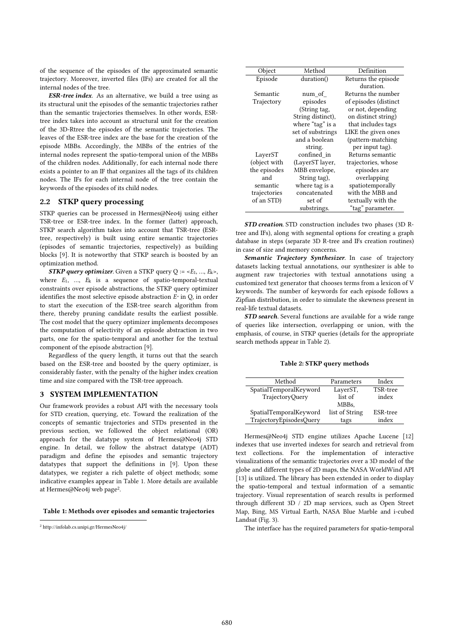of the sequence of the episodes of the approximated semantic trajectory. Moreover, inverted files (IFs) are created for all the internal nodes of the tree.

*ESR-tree index*. As an alternative, we build a tree using as its structural unit the episodes of the semantic trajectories rather than the semantic trajectories themselves. In other words, ESRtree index takes into account as structural unit for the creation of the 3D-Rtree the episodes of the semantic trajectories. The leaves of the ESR-tree index are the base for the creation of the episode MBBs. Accordingly, the MBBs of the entries of the internal nodes represent the spatio-temporal union of the MBBs of the children nodes. Additionally, for each internal node there exists a pointer to an IF that organizes all the tags of its children nodes. The IFs for each internal node of the tree contain the keywords of the episodes of its child nodes.

## **2.2 STKP query processing**

STKP queries can be processed in Hermes@Neo4j using either TSR-tree or ESR-tree index. In the former (latter) approach, STKP search algorithm takes into account that TSR-tree (ESRtree, respectively) is built using entire semantic trajectories (episodes of semantic trajectories, respectively) as building blocks [9]. It is noteworthy that STKP search is boosted by an optimization method.

*STKP query optimizer.* Given a STKP query  $Q := \langle E_1, ..., E_k \rangle$ , where *E*1, …, *E*k is a sequence of spatio-temporal-textual constraints over episode abstractions, the STKP query optimizer identifies the most selective episode abstraction *E\** in Q, in order to start the execution of the ESR-tree search algorithm from there, thereby pruning candidate results the earliest possible. The cost model that the query optimizer implements decomposes the computation of selectivity of an episode abstraction in two parts, one for the spatio-temporal and another for the textual component of the episode abstraction [9].

Regardless of the query length, it turns out that the search based on the ESR-tree and boosted by the query optimizer, is considerably faster, with the penalty of the higher index creation time and size compared with the TSR-tree approach.

## **3 SYSTEM IMPLEMENTATION**

Our framework provides a robust API with the necessary tools for STD creation, querying, etc. Toward the realization of the concepts of semantic trajectories and STDs presented in the previous section, we followed the object relational (OR) approach for the datatype system of Hermes@Neo4j STD engine. In detail, we follow the abstract datatype (ADT) paradigm and define the episodes and semantic trajectory datatypes that support the definitions in [9]. Upon these datatypes, we register a rich palette of object methods; some indicative examples appear in Table 1. More details are available at Hermes@Neo4j web page<sup>2</sup> .

**Table 1: Methods over episodes and semantic trajectories**

 $\overline{a}$ 

| Object       | Method            | Definition            |  |
|--------------|-------------------|-----------------------|--|
| Episode      | duration()        | Returns the episode   |  |
|              |                   | duration.             |  |
| Semantic     | num of            | Returns the number    |  |
| Trajectory   | episodes          | of episodes (distinct |  |
|              | (String tag,      | or not, depending     |  |
|              | String distinct), | on distinct string)   |  |
|              | where "tag" is a  | that includes tags    |  |
|              | set of substrings | LIKE the given ones   |  |
|              | and a boolean     | (pattern-matching)    |  |
|              | string.           | per input tag).       |  |
| LayerST      | confined in       | Returns semantic      |  |
| (object with | (LayerST layer,   | trajectories, whose   |  |
| the episodes | MBB envelope,     | episodes are          |  |
| and          | String tag),      | overlapping           |  |
| semantic     | where tag is a    | spatiotemporally      |  |
| trajectories | concatenated      | with the MBB and      |  |
| of an STD)   | set of            | textually with the    |  |
|              | substrings.       | "tag" parameter.      |  |

*STD creation.* STD construction includes two phases (3D Rtree and IFs), along with segmental options for creating a graph database in steps (separate 3D R-tree and IFs creation routines) in case of size and memory concerns.

*Semantic Trajectory Synthesizer.* In case of trajectory datasets lacking textual annotations, our synthesizer is able to augment raw trajectories with textual annotations using a customized text generator that chooses terms from a lexicon of V keywords. The number of keywords for each episode follows a Zipfian distribution, in order to simulate the skewness present in real-life textual datasets.

*STD search.* Several functions are available for a wide range of queries like intersection, overlapping or union, with the emphasis, of course, in STKP queries (details for the appropriate search methods appear in Table 2).

#### **Table 2: STKP query methods**

| Method                  | Parameters     | Index    |
|-------------------------|----------------|----------|
| SpatialTemporalKeyword  | LayerST,       | TSR-tree |
| <b>TrajectoryQuery</b>  | list of        | index    |
|                         | MBBs.          |          |
| SpatialTemporalKeyword  | list of String | ESR-tree |
| TrajectoryEpisodesQuery | tags           | index    |

Hermes@Neo4j STD engine utilizes Apache Lucene [12] indexes that use inverted indexes for search and retrieval from text collections. For the implementation of interactive visualizations of the semantic trajectories over a 3D model of the globe and different types of 2D maps, the NASA WorldWind API [13] is utilized. The library has been extended in order to display the spatio-temporal and textual information of a semantic trajectory. Visual representation of search results is performed through different 3D / 2D map services, such as Open Street Map, Bing, MS Virtual Earth, NASA Blue Marble and i-cubed Landsat (Fig. 3).

The interface has the required parameters for spatio-temporal

<sup>2</sup> http://infolab.cs.unipi.gr/HermesNeo4j/